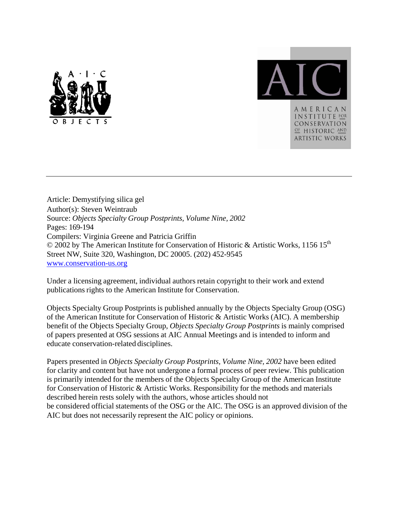



Article: Demystifying silica gel Author(s): Steven Weintraub Source: *Objects Specialty Group Postprints, Volume Nine, 2002* Pages: 169-194 Compilers: Virginia Greene and Patricia Griffin © 2002 by The American Institute for Conservation of Historic & Artistic Works, 1156 15th Street NW, Suite 320, Washington, DC 20005. (202) 452-9545 www.conservation-us.org

Under a licensing agreement, individual authors retain copyright to their work and extend publications rights to the American Institute for Conservation.

Objects Specialty Group Postprints is published annually by the Objects Specialty Group (OSG) of the American Institute for Conservation of Historic & Artistic Works (AIC). A membership benefit of the Objects Specialty Group, *Objects Specialty Group Postprints* is mainly comprised of papers presented at OSG sessions at AIC Annual Meetings and is intended to inform and educate conservation-related disciplines.

Papers presented in *Objects Specialty Group Postprints, Volume Nine, 2002* have been edited for clarity and content but have not undergone a formal process of peer review. This publication is primarily intended for the members of the Objects Specialty Group of the American Institute for Conservation of Historic & Artistic Works. Responsibility for the methods and materials described herein rests solely with the authors, whose articles should not be considered official statements of the OSG or the AIC. The OSG is an approved division of the AIC but does not necessarily represent the AIC policy or opinions.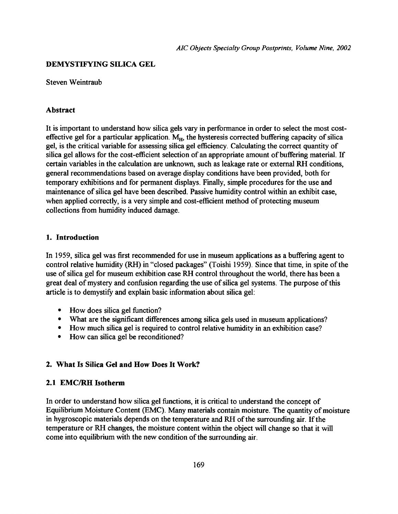### **DEMYSTIFYING SILICA GEL**

#### Steven Weintraub

### **Abstract**

It is important to understand how silica gels vary in performance in order to select the most costeffective gel for a particular application.  $M_H$ , the hysteresis corrected buffering capacity of silica gel, is the critical variable for assessing silica gel efficiency. Calculating the correct quantity of silica gel allows for the cost-efficient selection of an appropriate amount of buffering material. If certain variables in the calculation are unknown, such as leakage rate or external RH conditions, general recommendations based on average display conditions have been provided, both for temporary exhibitions and for permanent displays. Finally, simple procedures for the use and maintenance of silica gel have been described. Passive humidity control within an exhibit case, when applied correctly, is a very simple and cost-efficient method of protecting museum collections from humidity induced damage.

# **1. Introduction**

In 1959, silica gel was first recommended for use in museum applications as a buffering agent to control relative humidity (RH) in "closed packages" (Toishi 1959). Since that time, in spite of the use of silica gel for museum exhibition case RH control throughout the world, there has been a great deal of mystery and confusion regarding the use of silica gel systems. The purpose of this article is to demystify and explain basic information about silica gel:

- How does silica gel function?
- What are the significant differences among silica gels used in museum applications?
- How much silica gel is required to control relative humidity in an exhibition case?
- How can silica gel be reconditioned?

# **2. What Is Silica Gel and How Does It Work?**

# **2.1 EMC/RH Isotherm**

In order to understand how silica gel functions, it is critical to understand the concept of Equilibrium Moisture Content (EMC). Many materials contain moisture. The quantity of moisture in hygroscopic materials depends on the temperature and RH of the surrounding air. If the temperature or RH changes, the moisture content within the object will change so that it will come into equilibrium with the new condition of the surrounding air.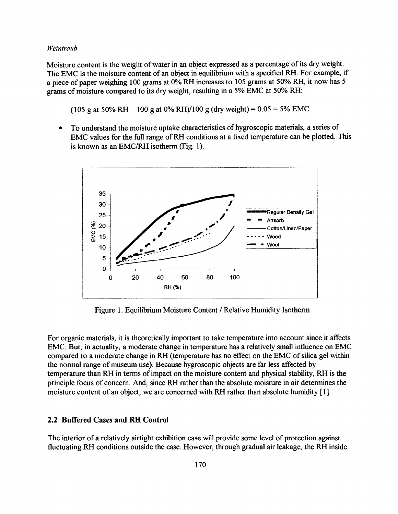Moisture content is the weight of water in an object expressed as a percentage of its dry weight. The EMC is the moisture content of an object in equilibrium with a specified RH. For example, if a piece of paper weighing 100 grams at 0% RH increases to 105 grams at 50% RH, it now has 5 grams of moisture compared to its dry weight, resulting in a 5% EMC at 50% RH:

(105 g at 50% RH – 100 g at 0% RH)/100 g (dry weight) =  $0.05 = 5\%$  EMC

 To understand the moisture uptake characteristics of hygroscopic materials, a series of EMC values for the full range of RH conditions at a fixed temperature can be plotted. This is known as an EMC/RH isotherm (Fig. 1).



Figure 1. Equilibrium Moisture Content / Relative Humidity Isotherm

For organic materials, it is theoretically important to take temperature into account since it affects EMC. But, in actuality, a moderate change in temperature has a relatively small influence on EMC compared to a moderate change in RH (temperature has no effect on the EMC of silica gel within the normal range of museum use). Because hygroscopic objects are far less affected by temperature than RH in terms of impact on the moisture content and physical stability, RH is the principle focus of concern. And, since RH rather than the absolute moisture in air determines the moisture content of an object, we are concerned with RH rather than absolute humidity [1].

#### **2.2 Buffered Cases and RH Control**

The interior of a relatively airtight exhibition case will provide some level of protection against fluctuating RH conditions outside the case. However, through gradual air leakage, the RH inside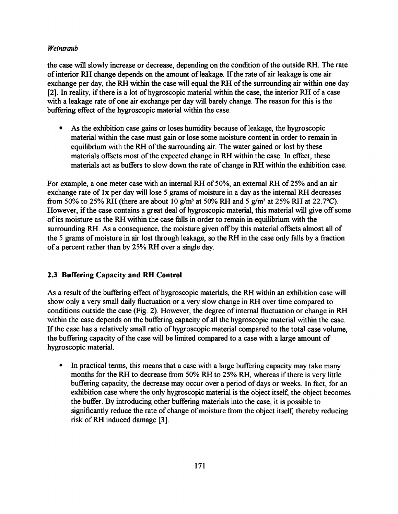the case will slowly increase or decrease, depending on the condition of the outside RH. The rate of interior RH change depends on the amount of leakage. If the rate of air leakage is one air exchange per day, the RH within the case will equal the RH of the surrounding air within one day [2]. In reality, if there is a lot of hygroscopic material within the case, the interior RH of a case with a leakage rate of one air exchange per day will barely change. The reason for this is the buffering effect of the hygroscopic material within the case.

 As the exhibition case gains or loses humidity because of leakage, the hygroscopic material within the case must gain or lose some moisture content in order to remain in equilibrium with the RH of the surrounding air. The water gained or lost by these materials offsets most of the expected change in RH within the case. In effect, these materials act as buffers to slow down the rate of change in RH within the exhibition case.

For example, a one meter case with an internal RH of 50%, an external RH of 25% and an air exchange rate of lx per day will lose 5 grams of moisture in a day as the internal RH decreases from 50% to 25% RH (there are about 10  $g/m^3$  at 50% RH and 5  $g/m^3$  at 25% RH at 22.7°C). However, if the case contains a great deal of hygroscopic material, this material will give off some of its moisture as the RH within the case falls in order to remain in equilibrium with the surrounding RH. As a consequence, the moisture given off by this material offsets almost all of the 5 grams of moisture in air lost through leakage, so the RH in the case only falls by a fraction of a percent rather than by 25% RH over a single day.

# **2.3 Buffering Capacity and RH Control**

As a result of the buffering effect of hygroscopic materials, the RH within an exhibition case will show only a very small daily fluctuation or a very slow change in RH over time compared to conditions outside the case (Fig. 2). However, the degree of internal fluctuation or change in RH within the case depends on the buffering capacity of all the hygroscopic material within the case. If the case has a relatively small ratio of hygroscopic material compared to the total case volume, the buffering capacity of the case will be limited compared to a case with a large amount of hygroscopic material.

 In practical terms, this means that a case with a large buffering capacity may take many months for the RH to decrease from 50% RH to 25% RH, whereas if there is very little buffering capacity, the decrease may occur over a period of days or weeks. In fact, for an exhibition case where the only hygroscopic material is the object itself, the object becomes the buffer. By introducing other buffering materials into the case, it is possible to significantly reduce the rate of change of moisture from the object itself, thereby reducing risk of RH induced damage [3].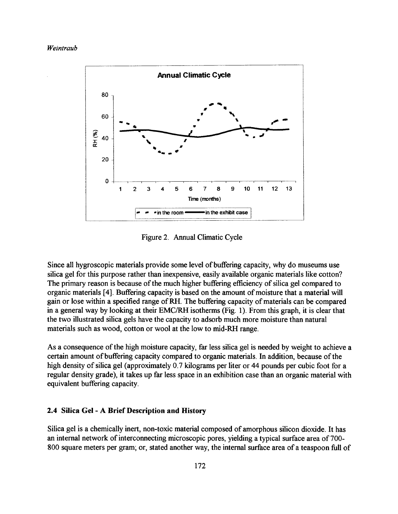

Figure 2. Annual Climatic Cycle

Since all hygroscopic materials provide some level of buffering capacity, why do museums use silica gel for this purpose rather than inexpensive, easily available organic materials like cotton? The primary reason is because of the much higher buffering efficiency of silica gel compared to organic materials [4]. Buffering capacity is based on the amount of moisture that a material will gain or lose within a specified range of RH. The buffering capacity of materials can be compared in a general way by looking at their EMC/RH isotherms (Fig. 1). From this graph, it is clear that the two illustrated silica gels have the capacity to adsorb much more moisture than natural materials such as wood, cotton or wool at the low to mid-RH range.

As a consequence of the high moisture capacity, far less silica gel is needed by weight to achieve a certain amount of buffering capacity compared to organic materials. In addition, because of the high density of silica gel (approximately 0.7 kilograms per liter or 44 pounds per cubic foot for a regular density grade), it takes up far less space in an exhibition case than an organic material with equivalent buffering capacity.

### **2.4 Silica Gel - A Brief Description and History**

Silica gel is a chemically inert, non-toxic material composed of amorphous silicon dioxide. It has an internal network of interconnecting microscopic pores, yielding a typical surface area of 700- 800 square meters per gram; or, stated another way, the internal surface area of a teaspoon full of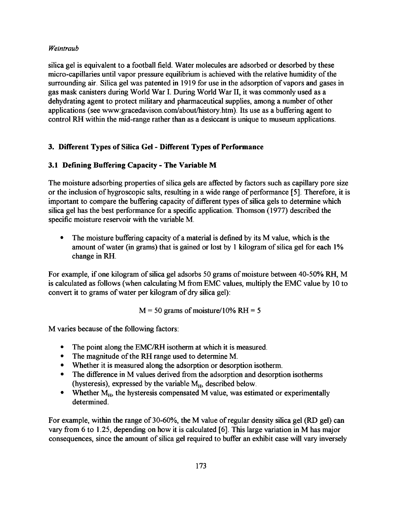silica gel is equivalent to a football field. Water molecules are adsorbed or desorbed by these micro-capillaries until vapor pressure equilibrium is achieved with the relative humidity of the surrounding air. Silica gel was patented in 1919 for use in the adsorption of vapors and gases in gas mask canisters during World War I. During World War II, it was commonly used as a dehydrating agent to protect military and pharmaceutical supplies, among a number of other applications (see www:gracedavison.com/about/history.htm). Its use as a buffering agent to control RH within the mid-range rather than as a desiccant is unique to museum applications.

# **3. Different Types of Silica Gel - Different Types of Performance**

# **3.1 Defining Buffering Capacity - The Variable M**

The moisture adsorbing properties of silica gels are affected by factors such as capillary pore size or the inclusion of hygroscopic salts, resulting in a wide range of performance [5]. Therefore, it is important to compare the buffering capacity of different types of silica gels to determine which silica gel has the best performance for a specific application. Thomson (1977) described the specific moisture reservoir with the variable M.

 The moisture buffering capacity of a material is defined by its M value, which is the amount of water (in grams) that is gained or lost by 1 kilogram of silica gel for each 1% change in RH.

For example, if one kilogram of silica gel adsorbs 50 grams of moisture between 40-50% RH, M is calculated as follows (when calculating M from EMC values, multiply the EMC value by 10 to convert it to grams of water per kilogram of dry silica gel):

 $M = 50$  grams of moisture/10% RH = 5

M varies because of the following factors:

- The point along the EMC/RH isotherm at which it is measured.
- The magnitude of the RH range used to determine M.
- Whether it is measured along the adsorption or desorption isotherm.
- The difference in M values derived from the adsorption and desorption isotherms (hysteresis), expressed by the variable  $M_H$ , described below.
- Whether  $M_H$ , the hysteresis compensated M value, was estimated or experimentally determined.

For example, within the range of 30-60%, the M value of regular density silica gel (RD gel) can vary from 6 to 1.25, depending on how it is calculated [6]. This large variation in M has major consequences, since the amount of silica gel required to buffer an exhibit case will vary inversely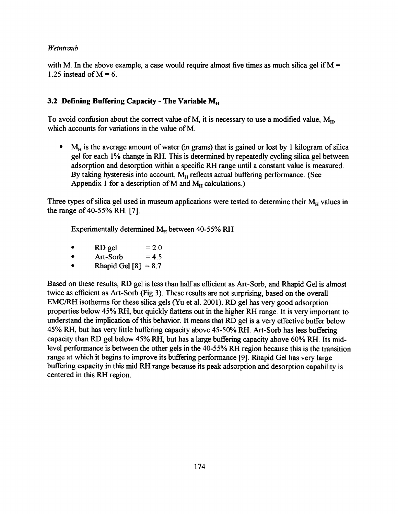with M. In the above example, a case would require almost five times as much silica gel if  $M =$ 1.25 instead of  $M = 6$ .

# **3.2 Defining Buffering Capacity - The Variable M**H

To avoid confusion about the correct value of M, it is necessary to use a modified value,  $M_{H_1}$ , which accounts for variations in the value of M.

 $M_H$  is the average amount of water (in grams) that is gained or lost by 1 kilogram of silica gel for each 1% change in RH. This is determined by repeatedly cycling silica gel between adsorption and desorption within a specific RH range until a constant value is measured. By taking hysteresis into account,  $M_H$  reflects actual buffering performance. (See Appendix 1 for a description of M and  $M_H$  calculations.)

Three types of silica gel used in museum applications were tested to determine their  $M_H$  values in the range of 40-55% RH. [7].

Experimentally determined  $M_H$  between 40-55% RH

- RD gel  $= 2.0$
- $\bullet$  Art-Sorb = 4.5
- Rhapid Gel  $[8] = 8.7$

Based on these results, RD gel is less than half as efficient as Art-Sorb, and Rhapid Gel is almost twice as efficient as Art-Sorb (Fig.3). These results are not surprising, based on the overall EMC/RH isotherms for these silica gels (Yu et al. 2001). RD gel has very good adsorption properties below 45% RH, but quickly flattens out in the higher RH range. It is very important to understand the implication of this behavior. It means that RD gel is a very effective buffer below 45% RH, but has very little buffering capacity above 45-50% RH. Art-Sorb has less buffering capacity than RD gel below 45% RH, but has a large buffering capacity above 60% RH. Its midlevel performance is between the other gels in the 40-55% RH region because this is the transition range at which it begins to improve its buffering performance [9]. Rhapid Gel has very large buffering capacity in this mid RH range because its peak adsorption and desorption capability is centered in this RH region.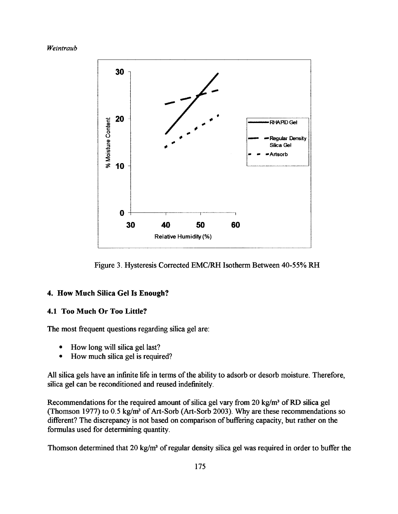

Figure 3. Hysteresis Corrected EMC/RH Isotherm Between 40-55% RH

# **4. How Much Silica Gel Is Enough?**

# **4.1 Too Much Or Too Little?**

The most frequent questions regarding silica gel are:

- How long will silica gel last?
- How much silica gel is required?

All silica gels have an infinite life in terms of the ability to adsorb or desorb moisture. Therefore, silica gel can be reconditioned and reused indefinitely.

Recommendations for the required amount of silica gel vary from 20 kg/m<sup>3</sup> of RD silica gel (Thomson 1977) to 0.5 kg/m<sup>3</sup> of Art-Sorb (Art-Sorb 2003). Why are these recommendations so different? The discrepancy is not based on comparison of buffering capacity, but rather on the formulas used for determining quantity.

Thomson determined that 20 kg/m<sup>3</sup> of regular density silica gel was required in order to buffer the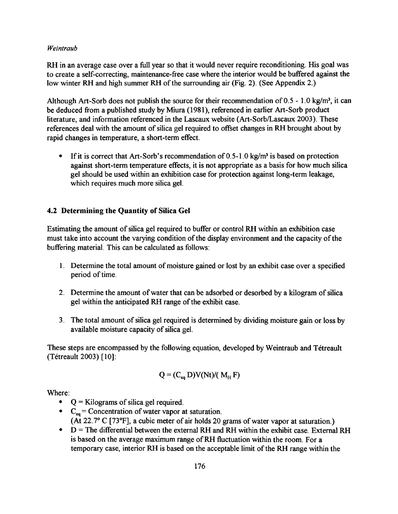RH in an average case over a full year so that it would never require reconditioning. His goal was to create a self-correcting, maintenance-free case where the interior would be buffered against the low winter RH and high summer RH of the surrounding air (Fig. 2). (See Appendix 2.)

Although Art-Sorb does not publish the source for their recommendation of  $0.5 - 1.0$  kg/m<sup>3</sup>, it can be deduced from a published study by Miura (1981), referenced in earlier Art-Sorb product literature, and information referenced in the Lascaux website (Art-Sorb/Lascaux 2003). These references deal with the amount of silica gel required to offset changes in RH brought about by rapid changes in temperature, a short-term effect.

If it is correct that Art-Sorb's recommendation of  $0.5$ -1.0 kg/m<sup>3</sup> is based on protection against short-term temperature effects, it is not appropriate as a basis for how much silica gel should be used within an exhibition case for protection against long-term leakage, which requires much more silica gel.

# **4.2 Determining the Quantity of Silica Gel**

Estimating the amount of silica gel required to buffer or control RH within an exhibition case must take into account the varying condition of the display environment and the capacity of the buffering material. This can be calculated as follows:

- 1. Determine the total amount of moisture gained or lost by an exhibit case over a specified period of time.
- 2. Determine the amount of water that can be adsorbed or desorbed by a kilogram of silica gel within the anticipated RH range of the exhibit case.
- 3. The total amount of silica gel required is determined by dividing moisture gain or loss by available moisture capacity of silica gel.

These steps are encompassed by the following equation, developed by Weintraub and Tétreault (Tetreault 2003) [10]:

$$
Q = (C_{eq} D)V(Nt)/(M_H F)
$$

Where:

- $\bullet$   $Q =$  Kilograms of silica gel required.
- $\text{C}_{eq}$  = Concentration of water vapor at saturation. (At 22.7 $\degree$  C [73 $\degree$ F], a cubic meter of air holds 20 grams of water vapor at saturation.)
- $\bullet$  D = The differential between the external RH and RH within the exhibit case. External RH is based on the average maximum range of RH fluctuation within the room. For a temporary case, interior RH is based on the acceptable limit of the RH range within the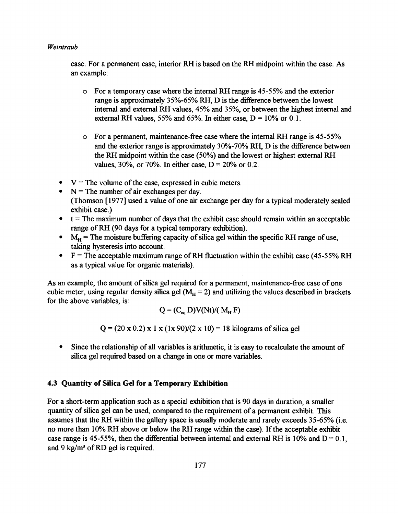case. For a permanent case, interior RH is based on the RH midpoint within the case. As an example:

- o For a temporary case where the internal RH range is 45-55% and the exterior range is approximately 35%-65% RH, D is the difference between the lowest internal and external RH values, 45% and 35%, or between the highest internal and external RH values, 55% and 65%. In either case,  $D = 10\%$  or 0.1.
- o For a permanent, maintenance-free case where the internal RH range is 45-55% and the exterior range is approximately 30%-70% RH, D is the difference between the RH midpoint within the case (50%) and the lowest or highest external RH values, 30%, or 70%. In either case,  $D = 20%$  or 0.2.
- $\bullet$  V = The volume of the case, expressed in cubic meters.
- $\bullet$  N = The number of air exchanges per day. (Thomson [1977] used a value of one air exchange per day for a typical moderately sealed exhibit case.)
- $\bullet$   $t =$  The maximum number of days that the exhibit case should remain within an acceptable range of RH (90 days for a typical temporary exhibition).
- $M_H$  = The moisture buffering capacity of silica gel within the specific RH range of use, taking hysteresis into account.
- F = The acceptable maximum range of RH fluctuation within the exhibit case (45-55% RH as a typical value for organic materials).

As an example, the amount of silica gel required for a permanent, maintenance-free case of one cubic meter, using regular density silica gel ( $M_H$  = 2) and utilizing the values described in brackets for the above variables, is:

$$
Q = (C_{eq} D)V(Nt)/(M_H F)
$$

 $Q = (20 \times 0.2) \times 1 \times (1 \times 90)/(2 \times 10) = 18$  kilograms of silica gel

 Since the relationship of all variables is arithmetic, it is easy to recalculate the amount of silica gel required based on a change in one or more variables.

### **4.3 Quantity of Silica Gel for a Temporary Exhibition**

For a short-term application such as a special exhibition that is 90 days in duration, a smaller quantity of silica gel can be used, compared to the requirement of a permanent exhibit. This assumes that the RH within the gallery space is usually moderate and rarely exceeds 35-65% (i.e. no more than 10% RH above or below the RH range within the case). If the acceptable exhibit case range is 45-55%, then the differential between internal and external RH is 10% and  $D = 0.1$ , and 9 kg/m<sup>3</sup> of RD gel is required.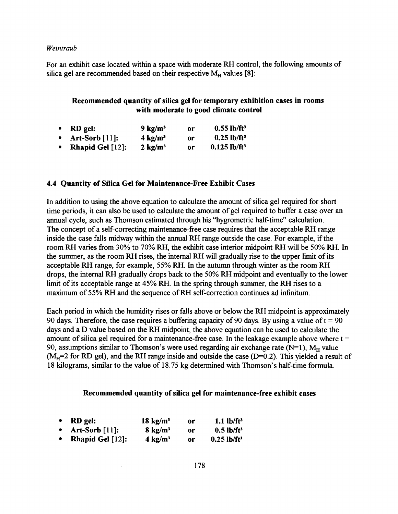For an exhibit case located within a space with moderate RH control, the following amounts of silica gel are recommended based on their respective  $M_H$  values [8]:

# **Recommended quantity of silica gel for temporary exhibition cases in rooms with moderate to good climate control**

| • $RD$ gel:           | $9 \text{ kg/m}^3$ | or  | $0.55$ lb/ft <sup>3</sup>  |
|-----------------------|--------------------|-----|----------------------------|
| • $Art-Sorb [11]:$    | $4 \text{ kg/m}^3$ | or  | $0.25$ lb/ft <sup>3</sup>  |
| • Rhapid Gel $[12]$ : | $2 \text{ kg/m}^3$ | or. | $0.125$ lb/ft <sup>3</sup> |

### **4.4 Quantity of Silica Gel for Maintenance-Free Exhibit Cases**

In addition to using the above equation to calculate the amount of silica gel required for short time periods, it can also be used to calculate the amount of gel required to buffer a case over an annual cycle, such as Thomson estimated through his "hygrometric half-time" calculation. The concept of a self-correcting maintenance-free case requires that the acceptable RH range inside the case falls midway within the annual RH range outside the case. For example, if the room RH varies from 30% to 70% RH, the exhibit case interior midpoint RH will be 50% RH. In the summer, as the room RH rises, the internal RH will gradually rise to the upper limit of its acceptable RH range, for example, 55% RH. In the autumn through winter as the room RH drops, the internal RH gradually drops back to the 50% RH midpoint and eventually to the lower limit of its acceptable range at 45% RH. In the spring through summer, the RH rises to a maximum of 55% RH and the sequence of RH self-correction continues ad infinitum.

Each period in which the humidity rises or falls above or below the RH midpoint is approximately 90 days. Therefore, the case requires a buffering capacity of 90 days. By using a value of  $t = 90$ days and a D value based on the RH midpoint, the above equation can be used to calculate the amount of silica gel required for a maintenance-free case. In the leakage example above where  $t =$ 90, assumptions similar to Thomson's were used regarding air exchange rate  $(N=1)$ ,  $M_H$  value  $(M_H=2$  for RD gel), and the RH range inside and outside the case ( $D=0.2$ ). This yielded a result of 18 kilograms, similar to the value of 18.75 kg determined with Thomson's half-time formula.

### **Recommended quantity of silica gel for maintenance-free exhibit cases**

| • $RD$ gel:                | $18 \text{ kg/m}^3$ | or | $1.1$ lb/ft <sup>3</sup>  |
|----------------------------|---------------------|----|---------------------------|
| • Art-Sorb $[11]$ :        | $8 \text{ kg/m}^3$  | 0r | $0.5$ lb/ft <sup>3</sup>  |
| <b>Rhapid Gel</b> $[12]$ : | $4 \text{ kg/m}^3$  | or | $0.25$ lb/ft <sup>3</sup> |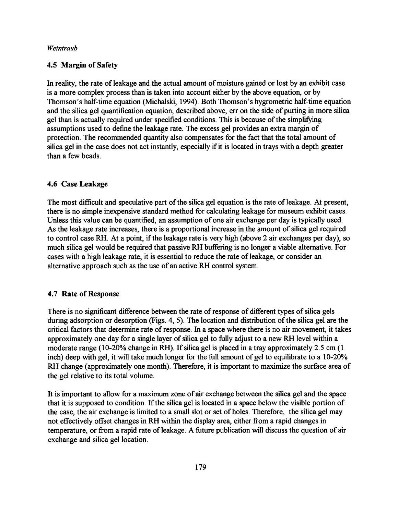# **4.5 Margin of Safety**

In reality, the rate of leakage and the actual amount of moisture gained or lost by an exhibit case is a more complex process than is taken into account either by the above equation, or by Thomson's half-time equation (Michalski, 1994). Both Thomson's hygrometric half-time equation and the silica gel quantification equation, described above, err on the side of putting in more silica gel than is actually required under specified conditions. This is because of the simplifying assumptions used to define the leakage rate. The excess gel provides an extra margin of protection. The recommended quantity also compensates for the fact that the total amount of silica gel in the case does not act instantly, especially if it is located in trays with a depth greater than a few beads.

## **4.6 Case Leakage**

The most difficult and speculative part of the silica gel equation is the rate of leakage. At present, there is no simple inexpensive standard method for calculating leakage for museum exhibit cases. Unless this value can be quantified, an assumption of one air exchange per day is typically used. As the leakage rate increases, there is a proportional increase in the amount of silica gel required to control case RH. At a point, if the leakage rate is very high (above 2 air exchanges per day), so much silica gel would be required that passive RH buffering is no longer a viable alternative. For cases with a high leakage rate, it is essential to reduce the rate of leakage, or consider an alternative approach such as the use of an active RH control system.

# **4.7 Rate of Response**

There is no significant difference between the rate of response of different types of silica gels during adsorption or desorption (Figs. 4, 5). The location and distribution of the silica gel are the critical factors that determine rate of response. In a space where there is no air movement, it takes approximately one day for a single layer of silica gel to fully adjust to a new RH level within a moderate range (10-20% change in RH). If silica gel is placed in a tray approximately 2.5 cm (1 inch) deep with gel, it will take much longer for the full amount of gel to equilibrate to a 10-20% RH change (approximately one month). Therefore, it is important to maximize the surface area of the gel relative to its total volume.

It is important to allow for a maximum zone of air exchange between the silica gel and the space that it is supposed to condition. If the silica gel is located in a space below the visible portion of the case, the air exchange is limited to a small slot or set of holes. Therefore, the silica gel may not effectively offset changes in RH within the display area, either from a rapid changes in temperature, or from a rapid rate of leakage. A future publication will discuss the question of air exchange and silica gel location.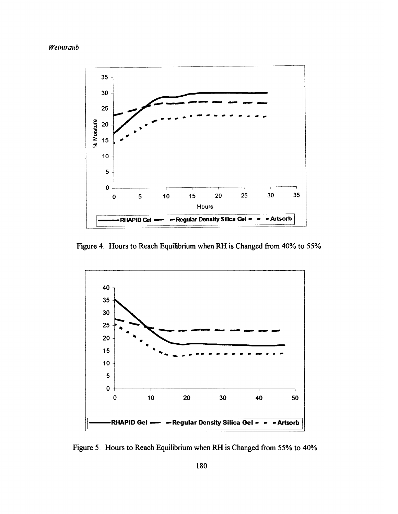



Figure 4. Hours to Reach Equilibrium when RH is Changed from 40% to 55%



Figure 5. Hours to Reach Equilibrium when RH is Changed from 55% to 40%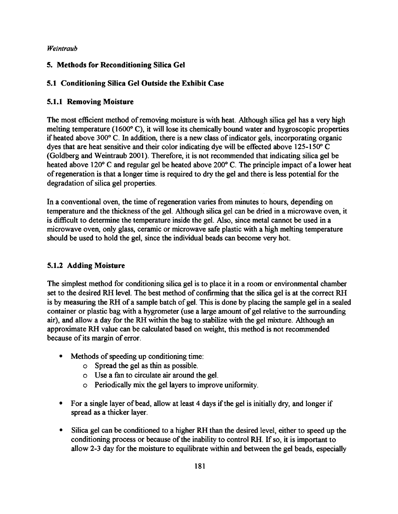# **5. Methods for Reconditioning Silica Gel**

# **5.1 Conditioning Silica Gel Outside the Exhibit Case**

# **5.1.1 Removing Moisture**

The most efficient method of removing moisture is with heat. Although silica gel has a very high melting temperature (1600 $^{\circ}$  C), it will lose its chemically bound water and hygroscopic properties if heated above 300° C. In addition, there is a new class of indicator gels, incorporating organic dyes that are heat sensitive and their color indicating dye will be effected above 125-150° C (Goldberg and Weintraub 2001). Therefore, it is not recommended that indicating silica gel be heated above 120° C and regular gel be heated above 200° C. The principle impact of a lower heat of regeneration is that a longer time is required to dry the gel and there is less potential for the degradation of silica gel properties.

In a conventional oven, the time of regeneration varies from minutes to hours, depending on temperature and the thickness of the gel. Although silica gel can be dried in a microwave oven, it is difficult to determine the temperature inside the gel. Also, since metal cannot be used in a microwave oven, only glass, ceramic or microwave safe plastic with a high melting temperature should be used to hold the gel, since the individual beads can become very hot.

# **5.1.2 Adding Moisture**

The simplest method for conditioning silica gel is to place it in a room or environmental chamber set to the desired RH level. The best method of confirming that the silica gel is at the correct RH is by measuring the RH of a sample batch of gel. This is done by placing the sample gel in a sealed container or plastic bag with a hygrometer (use a large amount of gel relative to the surrounding air), and allow a day for the RH within the bag to stabilize with the gel mixture. Although an approximate RH value can be calculated based on weight, this method is not recommended because of its margin of error.

- Methods of speeding up conditioning time:
	- o Spread the gel as thin as possible,
	- o Use a fan to circulate air around the gel.
	- o Periodically mix the gel layers to improve uniformity.
- For a single layer of bead, allow at least 4 days if the gel is initially dry, and longer if spread as a thicker layer.
- Silica gel can be conditioned to a higher RH than the desired level, either to speed up the conditioning process or because of the inability to control RH. If so, it is important to allow 2-3 day for the moisture to equilibrate within and between the gel beads, especially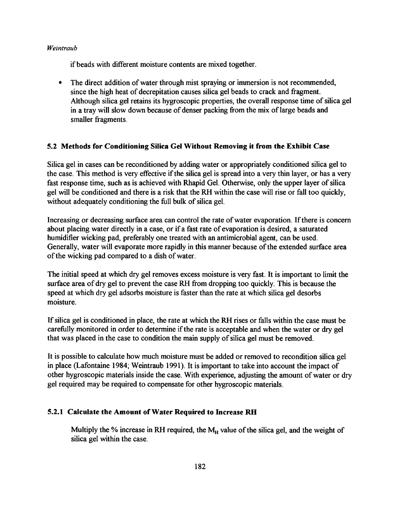if beads with different moisture contents are mixed together.

 The direct addition of water through mist spraying or immersion is not recommended, since the high heat of decrepitation causes silica gel beads to crack and fragment. Although silica gel retains its hygroscopic properties, the overall response time of silica gel in a tray will slow down because of denser packing from the mix of large beads and smaller fragments.

# **5.2 Methods for Conditioning Silica Gel Without Removing it from the Exhibit Case**

Silica gel in cases can be reconditioned by adding water or appropriately conditioned silica gel to the case. This method is very effective if the silica gel is spread into a very thin layer, or has a very fast response time, such as is achieved with Rhapid Gel. Otherwise, only the upper layer of silica gel will be conditioned and there is a risk that the RH within the case will rise or fall too quickly, without adequately conditioning the full bulk of silica gel.

Increasing or decreasing surface area can control the rate of water evaporation. If there is concern about placing water directly in a case, or if a fast rate of evaporation is desired, a saturated humidifier wicking pad, preferably one treated with an antimicrobial agent, can be used. Generally, water will evaporate more rapidly in this manner because of the extended surface area of the wicking pad compared to a dish of water.

The initial speed at which dry gel removes excess moisture is very fast. It is important to limit the surface area of dry gel to prevent the case RH from dropping too quickly. This is because the speed at which dry gel adsorbs moisture is faster than the rate at which silica gel desorbs moisture.

If silica gel is conditioned in place, the rate at which the RH rises or falls within the case must be carefully monitored in order to determine if the rate is acceptable and when the water or dry gel that was placed in the case to condition the main supply of silica gel must be removed.

It is possible to calculate how much moisture must be added or removed to recondition silica gel in place (Lafontaine 1984; Weintraub 1991). It is important to take into account the impact of other hygroscopic materials inside the case. With experience, adjusting the amount of water or dry gel required may be required to compensate for other hygroscopic materials.

# **5.2.1 Calculate the Amount of Water Required to Increase RH**

Multiply the % increase in RH required, the  $M_H$  value of the silica gel, and the weight of silica gel within the case.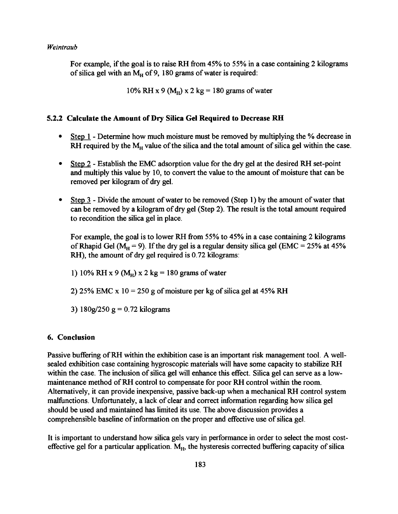For example, if the goal is to raise RH from 45% to 55% in a case containing 2 kilograms of silica gel with an  $M_H$  of 9, 180 grams of water is required:

10% RH x 9 ( $M<sub>H</sub>$ ) x 2 kg = 180 grams of water

### **5.2.2 Calculate the Amount of Dry Silica Gel Required to Decrease RH**

- Step 1 Determine how much moisture must be removed by multiplying the % decrease in RH required by the  $M_H$  value of the silica and the total amount of silica gel within the case.
- Step 2 Establish the EMC adsorption value for the dry gel at the desired RH set-point and multiply this value by 10, to convert the value to the amount of moisture that can be removed per kilogram of dry gel.
- $\bullet$  Step 3 Divide the amount of water to be removed (Step 1) by the amount of water that can be removed by a kilogram of dry gel (Step 2). The result is the total amount required to recondition the silica gel in place.

For example, the goal is to lower RH from 55% to 45% in a case containing 2 kilograms of Rhapid Gel ( $M_H$  = 9). If the dry gel is a regular density silica gel (EMC = 25% at 45% RH), the amount of dry gel required is 0.72 kilograms:

1) 10% RH x 9 ( $M_H$ ) x 2 kg = 180 grams of water

2) 25% EMC x  $10 = 250$  g of moisture per kg of silica gel at 45% RH

3) 180g/250 g = 0.72 kilograms

### **6. Conclusion**

Passive buffering of RH within the exhibition case is an important risk management tool. A wellsealed exhibition case containing hygroscopic materials will have some capacity to stabilize RH within the case. The inclusion of silica gel will enhance this effect. Silica gel can serve as a lowmaintenance method of RH control to compensate for poor RH control within the room. Alternatively, it can provide inexpensive, passive back-up when a mechanical RH control system malfunctions. Unfortunately, a lack of clear and correct information regarding how silica gel should be used and maintained has limited its use. The above discussion provides a comprehensible baseline of information on the proper and effective use of silica gel.

It is important to understand how silica gels vary in performance in order to select the most costeffective gel for a particular application.  $M_{H}$ , the hysteresis corrected buffering capacity of silica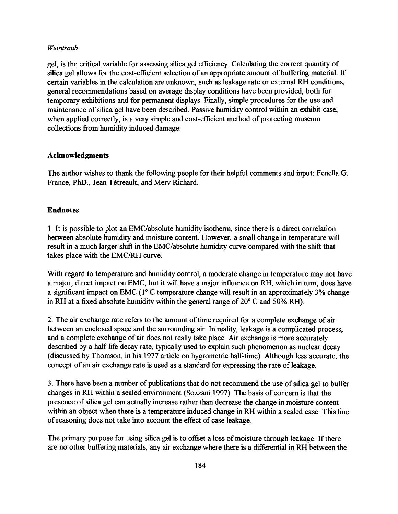gel, is the critical variable for assessing silica gel efficiency. Calculating the correct quantity of silica gel allows for the cost-efficient selection of an appropriate amount of buffering material. If certain variables in the calculation are unknown, such as leakage rate or external RH conditions, general recommendations based on average display conditions have been provided, both for temporary exhibitions and for permanent displays. Finally, simple procedures for the use and maintenance of silica gel have been described. Passive humidity control within an exhibit case, when applied correctly, is a very simple and cost-efficient method of protecting museum collections from humidity induced damage.

### **Acknowledgments**

The author wishes to thank the following people for their helpful comments and input: Fenella G. France, PhD., Jean Tétreault, and Merv Richard.

## **Endnotes**

1. It is possible to plot an EMC/absolute humidity isotherm, since there is a direct correlation between absolute humidity and moisture content. However, a small change in temperature will result in a much larger shift in the EMC/absolute humidity curve compared with the shift that takes place with the EMC/RH curve.

With regard to temperature and humidity control, a moderate change in temperature may not have a major, direct impact on EMC, but it will have a major influence on RH, which in turn, does have a significant impact on EMC ( $1^{\circ}$  C temperature change will result in an approximately 3% change in RH at a fixed absolute humidity within the general range of  $20^{\circ}$  C and 50% RH).

2. The air exchange rate refers to the amount of time required for a complete exchange of air between an enclosed space and the surrounding air. In reality, leakage is a complicated process, and a complete exchange of air does not really take place. Air exchange is more accurately described by a half-life decay rate, typically used to explain such phenomenon as nuclear decay (discussed by Thomson, in his 1977 article on hygrometric half-time). Although less accurate, the concept of an air exchange rate is used as a standard for expressing the rate of leakage.

3. There have been a number of publications that do not recommend the use of silica gel to buffer changes in RH within a sealed environment (Sozzani 1997). The basis of concern is that the presence of silica gel can actually increase rather than decrease the change in moisture content within an object when there is a temperature induced change in RH within a sealed case. This line of reasoning does not take into account the effect of case leakage.

The primary purpose for using silica gel is to offset a loss of moisture through leakage. If there are no other buffering materials, any air exchange where there is a differential in RH between the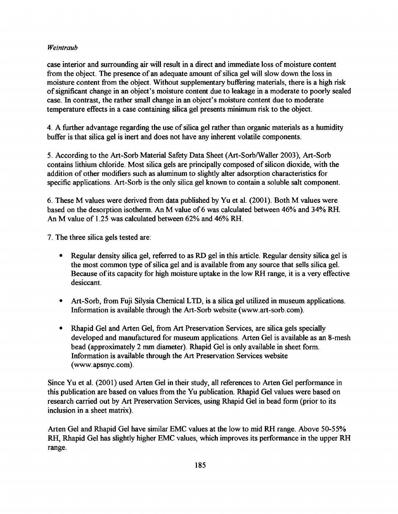case interior and surrounding air will result in a direct and immediate loss of moisture content from the object. The presence of an adequate amount of silica gel will slow down the loss in moisture content from the object. Without supplementary buffering materials, there is a high risk of significant change in an object's moisture content due to leakage in a moderate to poorly sealed case. In contrast, the rather small change in an object's moisture content due to moderate temperature effects in a case containing silica gel presents minimum risk to the object.

4. A further advantage regarding the use of silica gel rather than organic materials as a humidity buffer is that silica gel is inert and does not have any inherent volatile components.

5. According to the Art-Sorb Material Safety Data Sheet (Art-Sorb/Waller 2003), Art-Sorb contains lithium chloride. Most silica gels are principally composed of silicon dioxide, with the addition of other modifiers such as aluminum to slightly alter adsorption characteristics for specific applications. Art-Sorb is the only silica gel known to contain a soluble salt component.

6. These M values were derived from data published by Yu et al. (2001). Both M values were based on the desorption isotherm. An M value of 6 was calculated between 46% and 34% RH. An M value of 1.25 was calculated between 62% and 46% RH.

7. The three silica gels tested are:

- Regular density silica gel, referred to as RD gel in this article. Regular density silica gel is the most common type of silica gel and is available from any source that sells silica gel. Because of its capacity for high moisture uptake in the low RH range, it is a very effective desiccant.
- Art-Sorb, from Fuji Silysia Chemical LTD, is a silica gel utilized in museum applications. Information is available through the Art-Sorb website (www.art-sorb.com).
- Rhapid Gel and Arten Gel, from Art Preservation Services, are silica gels specially developed and manufactured for museum applications. Arten Gel is available as an 8-mesh bead (approximately 2 mm diameter). Rhapid Gel is only available in sheet form. Information is available through the Art Preservation Services website (www. apsnyc. com).

Since Yu et al. (2001) used Arten Gel in their study, all references to Arten Gel performance in this publication are based on values from the Yu publication. Rhapid Gel values were based on research carried out by Art Preservation Services, using Rhapid Gel in bead form (prior to its inclusion in a sheet matrix).

Arten Gel and Rhapid Gel have similar EMC values at the low to mid RH range. Above 50-55% RH, Rhapid Gel has slightly higher EMC values, which improves its performance in the upper RH range.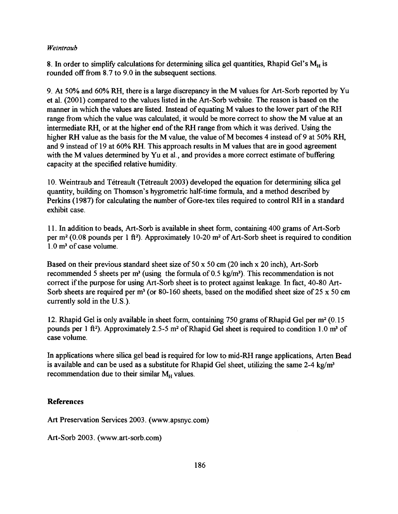8. In order to simplify calculations for determining silica gel quantities, Rhapid Gel's  $M_H$  is rounded off from 8.7 to 9.0 in the subsequent sections.

9. At 50% and 60% RH, there is a large discrepancy in the M values for Art-Sorb reported by Yu et al. (2001) compared to the values listed in the Art-Sorb website. The reason is based on the manner in which the values are listed. Instead of equating M values to the lower part of the RH range from which the value was calculated, it would be more correct to show the M value at an intermediate RH, or at the higher end of the RH range from which it was derived. Using the higher RH value as the basis for the M value, the value of M becomes 4 instead of 9 at 50% RH, and 9 instead of 19 at 60% RH. This approach results in M values that are in good agreement with the M values determined by Yu et al., and provides a more correct estimate of buffering capacity at the specified relative humidity.

10. Weintraub and Tétreault (Tétreault 2003) developed the equation for determining silica gel quantity, building on Thomson's hygrometric half-time formula, and a method described by Perkins (1987) for calculating the number of Gore-tex tiles required to control RH in a standard exhibit case.

11. In addition to beads, Art-Sorb is available in sheet form, containing 400 grams of Art-Sorb per  $m^2$  (0.08 pounds per 1 ft<sup>2</sup>). Approximately 10-20  $m^2$  of Art-Sorb sheet is required to condition 1.0 m<sup>3</sup> of case volume.

Based on their previous standard sheet size of 50 x 50 cm (20 inch x 20 inch), Art-Sorb recommended 5 sheets per  $m^3$  (using the formula of 0.5 kg/m<sup>3</sup>). This recommendation is not correct if the purpose for using Art-Sorb sheet is to protect against leakage. In fact, 40-80 Art-Sorb sheets are required per  $m^3$  (or 80-160 sheets, based on the modified sheet size of 25 x 50 cm currently sold in the U.S.).

12. Rhapid Gel is only available in sheet form, containing 750 grams of Rhapid Gel per m<sup>2</sup> (0.15) pounds per 1 ft<sup>2</sup>). Approximately 2.5-5 m<sup>2</sup> of Rhapid Gel sheet is required to condition 1.0 m<sup>3</sup> of case volume.

In applications where silica gel bead is required for low to mid-RH range applications, Arten Bead is available and can be used as a substitute for Rhapid Gel sheet, utilizing the same 2-4 kg/m<sup>3</sup> recommendation due to their similar  $M_H$  values.

# **References**

Art Preservation Services 2003. (www.apsnyc.com)

Art-Sorb 2003. (www.art-sorb.com)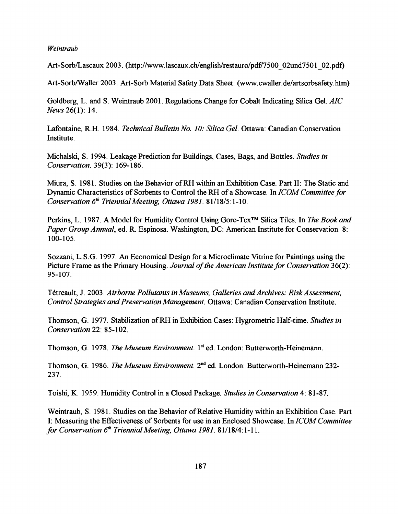Art-Sorb/Lascaux 2003. (http://www.lascaux.ch/english/restauro/pdf/7500\_02und7501\_02.pdf)

Art-Sorb/Waller 2003. Art-Sorb Material Safety Data Sheet. (www.cwaller.de/artsorbsafety.htm)

Goldberg, L. and S. Weintraub 2001. Regulations Change for Cobalt Indicating Silica Gel. *AIC News* 26(1): 14.

Lafontaine, R.H. 1984. *Technical Bulletin No. 10: Silica Gel.* Ottawa: Canadian Conservation Institute.

Michalski, S. 1994. Leakage Prediction for Buildings, Cases, Bags, and Bottles. *Studies in Conservation.* 39(3): 169-186.

Miura, S. 1981. Studies on the Behavior of RH within an Exhibition Case. Part II: The Static and Dynamic Characteristics of Sorbents to Control the RH of a Showcase. In *ICOM Committee for Conservation 6th Triennial Meeting, Ottawa 1981.* 81/18/5 :1-10.

Perkins, L. 1987. A Model for Humidity Control Using Gore-Tex<sup>™</sup> Silica Tiles. In *The Book and Paper Group Annual*, ed. R. Espinosa. Washington, DC: American Institute for Conservation. 8: 100-105.

Sozzani, L.S.G. 1997. An Economical Design for a Microclimate Vitrine for Paintings using the Picture Frame as the Primary Housing. *Journal of the American Institute for Conservation* 36(2): 95-107.

Tétreault, J. 2003. Airborne Pollutants in Museums, Galleries and Archives: Risk Assessment, *Control Strategies and Preservation Management.* Ottawa: Canadian Conservation Institute.

Thomson, G. 1977. Stabilization of RH in Exhibition Cases: Hygrometric Half-time. *Studies in Conservation* 22: 85-102.

Thomson, G. 1978. *The Museum Environment*. 1<sup>st</sup> ed. London: Butterworth-Heinemann.

Thomson, G. 1986. *The Museum Environment*. 2<sup>nd</sup> ed. London: Butterworth-Heinemann 232-237.

Toishi, K. 1959. Humidity Control in a Closed Package. *Studies in Conservation* 4: 81-87.

Weintraub, S. 1981. Studies on the Behavior of Relative Humidity within an Exhibition Case. Part I: Measuring the Effectiveness of Sorbents for use in an Enclosed Showcase. In *ICOM Committee for Conservation 6th Triennial Meeting, Ottawa 1981.* 81/18/4:1-11.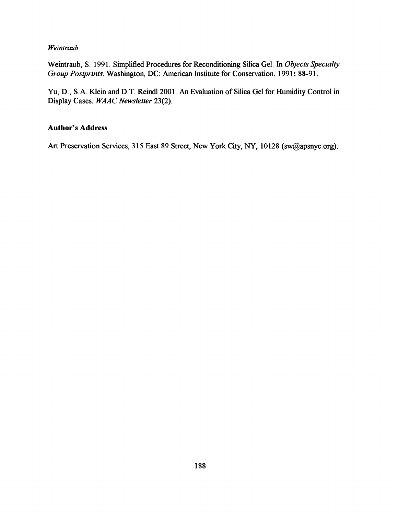Weintraub, S. 1991. Simplified Procedures for Reconditioning Silica Gel. In *Objects Specialty Group Postprints.* Washington, DC: American Institute for Conservation. 1991: 88-91.

Yu, D., S.A. Klein and D.T. Reindl 2001. An Evaluation of Silica Gel for Humidity Control in Display Cases. *WAAC Newsletter* 23(2).

# Author's Address

Art Preservation Services, 315 East 89 Street, New York City, NY, 10128 (sw@apsnyc.org).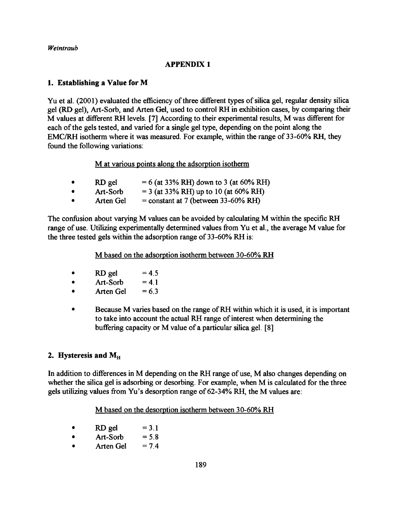## **APPENDIX 1**

## **1. Establishing a Value for M**

Yu et **al.** (2001) evaluated the efficiency of three different types of silica gel, regular density silica gel (RD gel), Art-Sorb, and Arten Gel, used to control RH in exhibition cases, by comparing their M values at different RH levels. [7] According to their experimental results, M was different for each of the gels tested, and varied for a single gel type, depending on the point along the EMC/RH isotherm where it was measured. For example, within the range of 33-60% RH, they found the following variations:

M at various points along the adsorption isotherm

|           | RD gel    | $= 6$ (at 33% RH) down to 3 (at 60% RH) |
|-----------|-----------|-----------------------------------------|
| $\bullet$ | Art-Sorb  | $=$ 3 (at 33% RH) up to 10 (at 60% RH)  |
| $\bullet$ | Arten Gel | $=$ constant at 7 (between 33-60% RH)   |

The confusion about varying M values can be avoided by calculating M within the specific RH range of use. Utilizing experimentally determined values from Yu et al., the average M value for the three tested gels within the adsorption range of 33-60% RH is:

M based on the adsorption isotherm between 30-60% RH

- RD gel  $=4.5$
- $\bullet$  Art-Sorb = 4.1
- $\bullet$  Arten Gel = 6.3
- Because M varies based on the range of RH within which it is used, it is important to take into account the actual RH range of interest when determining the buffering capacity or M value of a particular silica gel. [8]

# 2. Hysteresis and M<sub>H</sub>

In addition to differences in M depending on the RH range of use, M also changes depending on whether the silica gel is adsorbing or desorbing. For example, when M is calculated for the three gels utilizing values from Yu's desorption range of 62-34% RH, the M values are:

M based on the desorption isotherm between 30-60% RH

- RD gel  $=3.1$
- $\bullet$  Art-Sorb = 5.8
- Arten Gel  $= 7.4$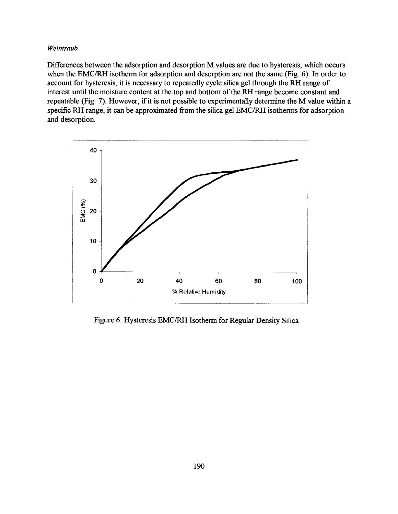Differences between the adsorption and desorption M values are due to hysteresis, which occurs when the EMC/RH isotherm for adsorption and desorption are not the same (Fig. 6). In order to account for hysteresis, it is necessary to repeatedly cycle silica gel through the RH range of interest until the moisture content at the top and bottom of the RH range become constant and repeatable (Fig. 7). However, if it is not possible to experimentally determine the M value within a specific RH range, it can be approximated from the silica gel EMC/RH isotherms for adsorption and desorption.



Figure 6. Hysteresis EMC/RH Isotherm for Regular Density Silica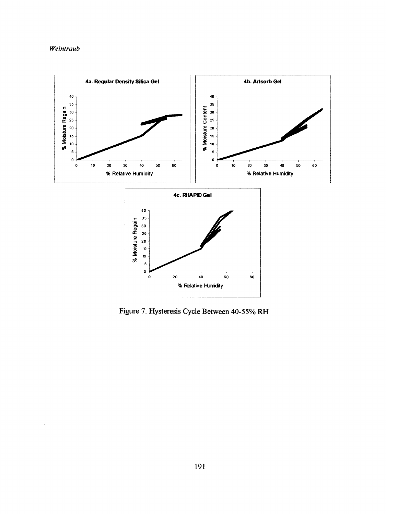

Figure 7. Hysteresis Cycle Between 40-55% RH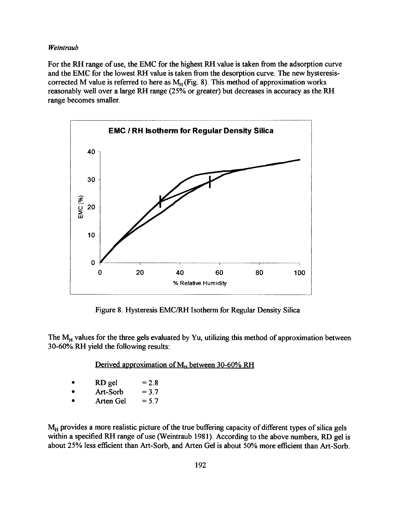For the RH range of use, the EMC for the highest RH value is taken from the adsorption curve and the EMC for the lowest RH value is taken from the desorption curve. The new hysteresiscorrected M value is referred to here as  $M_H$ (Fig. 8). This method of approximation works reasonably well over a large RH range (25% or greater) but decreases in accuracy as the RH range becomes smaller.



Figure 8. Hysteresis EMC/RH Isotherm for Regular Density Silica

The M<sub>H</sub> values for the three gels evaluated by Yu, utilizing this method of approximation between 30-60% RH yield the following results:

Derived approximation of M<sub>H</sub> between 30-60% RH

| $\bullet$ | RD gel    | $= 2.8$ |
|-----------|-----------|---------|
| $\bullet$ | Art-Sorb  | $= 3.7$ |
| $\bullet$ | Arten Gel | $= 5.7$ |

**M**h provides a more realistic picture of the true buffering capacity of different types of silica gels within a specified RH range of use (Weintraub 1981). According to the above numbers, RD gel is about 25% less efficient than Art-Sorb, and Arten Gel is about 50% more efficient than Art-Sorb.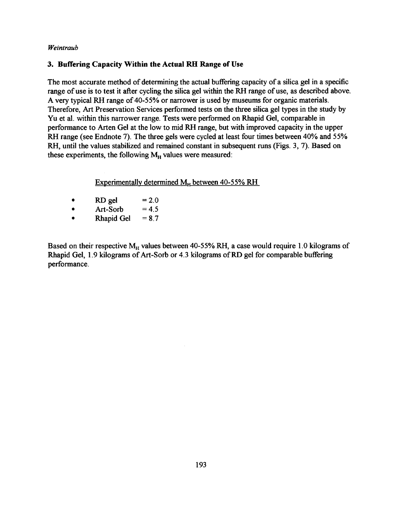# **3. Buffering Capacity Within the Actual RH Range of Use**

The most accurate method of determining the actual buffering capacity of a silica gel in a specific range of use is to test it after cycling the silica gel within the RH range of use, as described above. A very typical RH range of 40-55% or narrower is used by museums for organic materials. Therefore, Art Preservation Services performed tests on the three silica gel types in the study by Yu et **al.** within this narrower range. Tests were performed on Rhapid Gel, comparable in performance to Arten Gel at the low to mid RH range, but with improved capacity in the upper RH range (see Endnote 7). The three gels were cycled at least four times between 40% and 55% RH, until the values stabilized and remained constant in subsequent runs (Figs. 3, 7). Based on these experiments, the following  $M_H$  values were measured:

Experimentally determined  $M_H$  between 40-55% RH

- RD gel  $= 2.0$
- $\bullet$  Art-Sorb = 4.5
- Rhapid Gel  $= 8.7$

Based on their respective  $M_H$  values between 40-55% RH, a case would require 1.0 kilograms of Rhapid Gel, 1.9 kilograms of Art-Sorb or 4.3 kilograms of RD gel for comparable buffering performance.